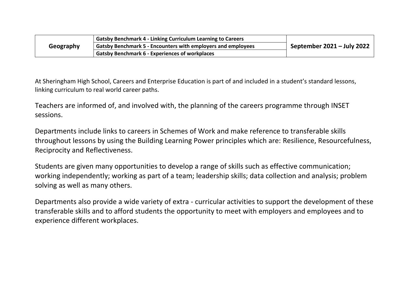|           | <b>Gatsby Benchmark 4 - Linking Curriculum Learning to Careers</b> |                              |  |
|-----------|--------------------------------------------------------------------|------------------------------|--|
| Geography | Gatsby Benchmark 5 - Encounters with employers and employees       | September $2021 -$ July 2022 |  |
|           | <b>Gatsby Benchmark 6 - Experiences of workplaces</b>              |                              |  |

At Sheringham High School, Careers and Enterprise Education is part of and included in a student's standard lessons, linking curriculum to real world career paths.

Teachers are informed of, and involved with, the planning of the careers programme through INSET sessions.

Departments include links to careers in Schemes of Work and make reference to transferable skills throughout lessons by using the Building Learning Power principles which are: Resilience, Resourcefulness, Reciprocity and Reflectiveness.

Students are given many opportunities to develop a range of skills such as effective communication; working independently; working as part of a team; leadership skills; data collection and analysis; problem solving as well as many others.

Departments also provide a wide variety of extra - curricular activities to support the development of these transferable skills and to afford students the opportunity to meet with employers and employees and to experience different workplaces.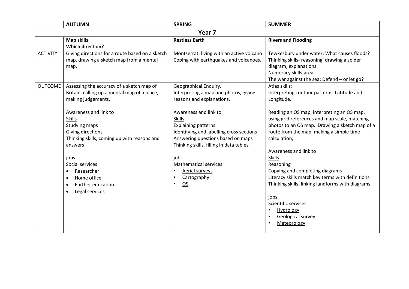|                 | <b>AUTUMN</b>                                                                                                                                                                                                                                                                                                                                                                | <b>SPRING</b>                                                                                                                                                                                                                                                                                                                                                                                                         | <b>SUMMER</b>                                                                                                                                                                                                                                                                                                                                                                                                                                                                                                                                                                    |
|-----------------|------------------------------------------------------------------------------------------------------------------------------------------------------------------------------------------------------------------------------------------------------------------------------------------------------------------------------------------------------------------------------|-----------------------------------------------------------------------------------------------------------------------------------------------------------------------------------------------------------------------------------------------------------------------------------------------------------------------------------------------------------------------------------------------------------------------|----------------------------------------------------------------------------------------------------------------------------------------------------------------------------------------------------------------------------------------------------------------------------------------------------------------------------------------------------------------------------------------------------------------------------------------------------------------------------------------------------------------------------------------------------------------------------------|
|                 | Year <sub>7</sub>                                                                                                                                                                                                                                                                                                                                                            |                                                                                                                                                                                                                                                                                                                                                                                                                       |                                                                                                                                                                                                                                                                                                                                                                                                                                                                                                                                                                                  |
|                 | <b>Map skills</b><br><b>Which direction?</b>                                                                                                                                                                                                                                                                                                                                 | <b>Restless Earth</b>                                                                                                                                                                                                                                                                                                                                                                                                 | <b>Rivers and Flooding</b>                                                                                                                                                                                                                                                                                                                                                                                                                                                                                                                                                       |
| <b>ACTIVITY</b> | Giving directions for a route based on a sketch<br>map, drawing a sketch map from a mental<br>map.                                                                                                                                                                                                                                                                           | Montserrat: living with an active volcano<br>Coping with earthquakes and volcanoes.                                                                                                                                                                                                                                                                                                                                   | Tewkesbury under water: What causes floods?<br>Thinking skills- reasoning, drawing a spider<br>diagram, explanations.<br>Numeracy skills-area.<br>The war against the sea: Defend $-$ or let go?                                                                                                                                                                                                                                                                                                                                                                                 |
| <b>OUTCOME</b>  | Assessing the accuracy of a sketch map of<br>Britain, calling up a mental map of a place,<br>making judgements.<br>Awareness and link to<br><b>Skills</b><br>Studying maps<br>Giving directions<br>Thinking skills, coming up with reasons and<br>answers<br>jobs<br>Social services<br>Researcher<br>Home office<br><b>Further education</b><br>Legal services<br>$\bullet$ | Geographical Enquiry.<br>Interpreting a map and photos, giving<br>reasons and explanations,<br>Awareness and link to<br><b>Skills</b><br><b>Explaining patterns</b><br>Identifying and labelling cross sections<br>Answering questions based on maps<br>Thinking skills, filling in data tables<br>jobs<br><b>Mathematical services</b><br>Aerial surveys<br>Cartography<br>$\bullet$<br>$\overline{OS}$<br>$\bullet$ | Atlas skills:<br>Interpreting contour patterns. Latitude and<br>Longitude.<br>Reading an OS map, interpreting an OS map,<br>using grid references and map scale, matching<br>photos to an OS map. Drawing a sketch map of a<br>route from the map, making a simple time<br>calculation,<br>Awareness and link to<br><b>Skills</b><br>Reasoning<br>Copying and completing diagrams<br>Literacy skills match key terms with definitions<br>Thinking skills, linking landforms with diagrams<br>jobs<br>Scientific services<br>Hydrology<br><b>Geological survey</b><br>Meteorology |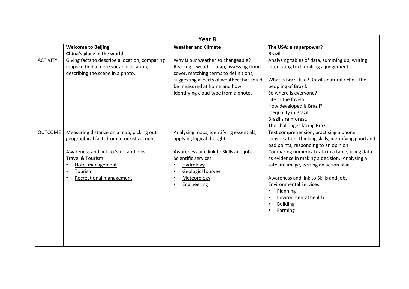|                 | Year <sub>8</sub>                                                                                                                                                                                                          |                                                                                                                                                                                                                                          |                                                                                                                                                                                                                                                                                                                                                                                                                                    |
|-----------------|----------------------------------------------------------------------------------------------------------------------------------------------------------------------------------------------------------------------------|------------------------------------------------------------------------------------------------------------------------------------------------------------------------------------------------------------------------------------------|------------------------------------------------------------------------------------------------------------------------------------------------------------------------------------------------------------------------------------------------------------------------------------------------------------------------------------------------------------------------------------------------------------------------------------|
|                 | <b>Welcome to Beijing</b>                                                                                                                                                                                                  | <b>Weather and Climate</b>                                                                                                                                                                                                               | The USA: a superpower?                                                                                                                                                                                                                                                                                                                                                                                                             |
|                 | China's place in the world                                                                                                                                                                                                 |                                                                                                                                                                                                                                          | <b>Brazil</b>                                                                                                                                                                                                                                                                                                                                                                                                                      |
| <b>ACTIVITY</b> | Giving facts to describe a location, comparing<br>maps to find a more suitable location,<br>describing the scene in a photo,                                                                                               | Why is our weather so changeable?<br>Reading a weather map, assessing cloud<br>cover, matching terms to definitions,<br>suggesting aspects of weather that could<br>be measured at home and how.<br>Identifying cloud type from a photo, | Analysing tables of data, summing up, writing<br>interesting text, making a judgement.<br>What is Brazil like? Brazil's natural riches, the<br>peopling of Brazil.<br>So where is everyone?<br>Life in the favela.<br>How developed is Brazil?<br>Inequality in Brazil.<br>Brazil's rainforest.<br>The challenges facing Brazil.                                                                                                   |
| <b>OUTCOME</b>  | Measuring distance on a map, picking out<br>geographical facts from a tourist account.<br>Awareness and link to Skills and jobs<br>Travel & Tourism<br>Hotel management<br>Tourism<br>$\bullet$<br>Recreational management | Analysing maps, identifying essentials,<br>applying logical thought.<br>Awareness and link to Skills and jobs<br>Scientific services<br>Hydrology<br>$\bullet$<br>Geological survey<br>$\bullet$<br>Meteorology<br>Engineering           | Text comprehension, practising a phone<br>conversation, thinking skills, identifying good and<br>bad points, responding to an opinion.<br>Comparing numerical data in a table, using data<br>as evidence in making a decision. Analysing a<br>satellite image, writing an action plan.<br>Awareness and link to Skills and jobs<br><b>Environmental Services</b><br>Planning<br>Environmental health<br><b>Building</b><br>Farming |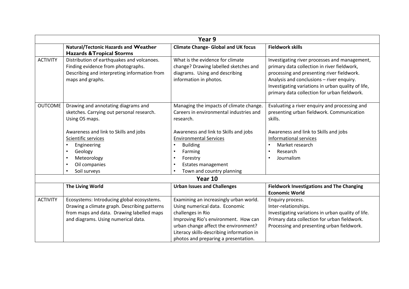|                 |                                                                                                                                                      | Year 9                                                                                                                                |                                                                                                                                                                                                                                                                                               |
|-----------------|------------------------------------------------------------------------------------------------------------------------------------------------------|---------------------------------------------------------------------------------------------------------------------------------------|-----------------------------------------------------------------------------------------------------------------------------------------------------------------------------------------------------------------------------------------------------------------------------------------------|
|                 | <b>Natural/Tectonic Hazards and Weather</b><br><b>Hazards &amp; Tropical Storms</b>                                                                  | <b>Climate Change- Global and UK focus</b>                                                                                            | <b>Fieldwork skills</b>                                                                                                                                                                                                                                                                       |
| <b>ACTIVITY</b> | Distribution of earthquakes and volcanoes.<br>Finding evidence from photographs.<br>Describing and interpreting information from<br>maps and graphs. | What is the evidence for climate<br>change? Drawing labelled sketches and<br>diagrams. Using and describing<br>information in photos. | Investigating river processes and management,<br>primary data collection in river fieldwork,<br>processing and presenting river fieldwork.<br>Analysis and conclusions - river enquiry.<br>Investigating variations in urban quality of life,<br>primary data collection for urban fieldwork. |
| <b>OUTCOME</b>  | Drawing and annotating diagrams and<br>sketches. Carrying out personal research.<br>Using OS maps.                                                   | Managing the impacts of climate change.<br>Careers in environmental industries and<br>research.                                       | Evaluating a river enquiry and processing and<br>presenting urban fieldwork. Communication<br>skills.                                                                                                                                                                                         |
|                 | Awareness and link to Skills and jobs                                                                                                                | Awareness and link to Skills and jobs                                                                                                 | Awareness and link to Skills and jobs                                                                                                                                                                                                                                                         |
|                 | Scientific services                                                                                                                                  | <b>Environmental Services</b>                                                                                                         | Informational services                                                                                                                                                                                                                                                                        |
|                 | Engineering                                                                                                                                          | <b>Building</b><br>$\bullet$                                                                                                          | Market research                                                                                                                                                                                                                                                                               |
|                 | Geology                                                                                                                                              | Farming<br>$\bullet$                                                                                                                  | Research                                                                                                                                                                                                                                                                                      |
|                 | Meteorology<br>$\bullet$                                                                                                                             | Forestry<br>$\bullet$                                                                                                                 | Journalism                                                                                                                                                                                                                                                                                    |
|                 | Oil companies<br>$\bullet$                                                                                                                           | Estates management<br>$\bullet$                                                                                                       |                                                                                                                                                                                                                                                                                               |
|                 | Soil surveys                                                                                                                                         | Town and country planning<br>$\bullet$                                                                                                |                                                                                                                                                                                                                                                                                               |
|                 |                                                                                                                                                      | Year 10                                                                                                                               |                                                                                                                                                                                                                                                                                               |
|                 | <b>The Living World</b>                                                                                                                              | <b>Urban Issues and Challenges</b>                                                                                                    | <b>Fieldwork Investigations and The Changing</b><br><b>Economic World</b>                                                                                                                                                                                                                     |
| <b>ACTIVITY</b> | Ecosystems: Introducing global ecosystems.                                                                                                           | Examining an increasingly urban world.                                                                                                | Enquiry process.                                                                                                                                                                                                                                                                              |
|                 | Drawing a climate graph. Describing patterns                                                                                                         | Using numerical data. Economic                                                                                                        | Inter-relationships.                                                                                                                                                                                                                                                                          |
|                 | from maps and data. Drawing labelled maps                                                                                                            | challenges in Rio                                                                                                                     | Investigating variations in urban quality of life.                                                                                                                                                                                                                                            |
|                 | and diagrams. Using numerical data.                                                                                                                  | Improving Rio's environment. How can                                                                                                  | Primary data collection for urban fieldwork.                                                                                                                                                                                                                                                  |
|                 |                                                                                                                                                      | urban change affect the environment?                                                                                                  | Processing and presenting urban fieldwork.                                                                                                                                                                                                                                                    |
|                 |                                                                                                                                                      | Literacy skills-describing information in                                                                                             |                                                                                                                                                                                                                                                                                               |
|                 |                                                                                                                                                      | photos and preparing a presentation.                                                                                                  |                                                                                                                                                                                                                                                                                               |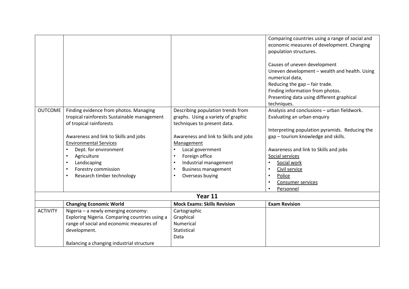|                 |                                                |                                         | Comparing countries using a range of social and |
|-----------------|------------------------------------------------|-----------------------------------------|-------------------------------------------------|
|                 |                                                |                                         | economic measures of development. Changing      |
|                 |                                                |                                         | population structures.                          |
|                 |                                                |                                         |                                                 |
|                 |                                                |                                         | Causes of uneven development                    |
|                 |                                                |                                         | Uneven development - wealth and health. Using   |
|                 |                                                |                                         | numerical data,                                 |
|                 |                                                |                                         | Reducing the gap - fair trade.                  |
|                 |                                                |                                         | Finding information from photos.                |
|                 |                                                |                                         | Presenting data using different graphical       |
|                 |                                                |                                         | techniques.                                     |
| <b>OUTCOME</b>  | Finding evidence from photos. Managing         | Describing population trends from       | Analysis and conclusions - urban fieldwork.     |
|                 | tropical rainforests Sustainable management    | graphs. Using a variety of graphic      | Evaluating an urban enquiry                     |
|                 | of tropical rainforests                        | techniques to present data.             |                                                 |
|                 |                                                |                                         | Interpreting population pyramids. Reducing the  |
|                 | Awareness and link to Skills and jobs          | Awareness and link to Skills and jobs   | gap - tourism knowledge and skills.             |
|                 | <b>Environmental Services</b>                  | Management                              |                                                 |
|                 | Dept. for environment                          | Local government<br>$\bullet$           | Awareness and link to Skills and jobs           |
|                 | Agriculture                                    | Foreign office<br>$\bullet$             | Social services                                 |
|                 | Landscaping                                    | Industrial management<br>$\bullet$      | Social work                                     |
|                 | Forestry commission                            | <b>Business management</b><br>$\bullet$ | Civil service                                   |
|                 | Research timber technology                     | Overseas buying<br>$\bullet$            | Police                                          |
|                 |                                                |                                         | Consumer services                               |
|                 |                                                |                                         | Personnel                                       |
|                 |                                                | Year 11                                 |                                                 |
|                 | <b>Changing Economic World</b>                 | <b>Mock Exams: Skills Revision</b>      | <b>Exam Revision</b>                            |
| <b>ACTIVITY</b> | Nigeria - a newly emerging economy:            | Cartographic                            |                                                 |
|                 | Exploring Nigeria. Comparing countries using a | Graphical                               |                                                 |
|                 | range of social and economic measures of       | Numerical                               |                                                 |
|                 | development.                                   | Statistical                             |                                                 |
|                 |                                                | Data                                    |                                                 |
|                 | Balancing a changing industrial structure      |                                         |                                                 |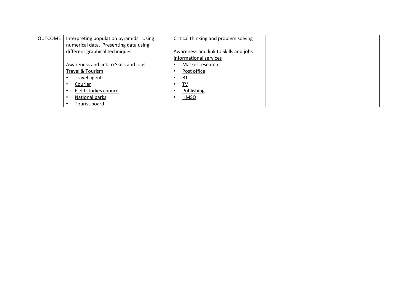| <b>OUTCOME</b> | Interpreting population pyramids. Using | Critical thinking and problem solving |
|----------------|-----------------------------------------|---------------------------------------|
|                | numerical data. Presenting data using   |                                       |
|                | different graphical techniques.         | Awareness and link to Skills and jobs |
|                |                                         | Informational services                |
|                | Awareness and link to Skills and jobs   | Market research                       |
|                | Travel & Tourism                        | Post office                           |
|                | Travel agent                            | <b>BT</b>                             |
|                | Courier                                 | TV                                    |
|                | Field studies council                   | Publishing                            |
|                | National parks                          | HMSO                                  |
|                | Tourist board                           |                                       |